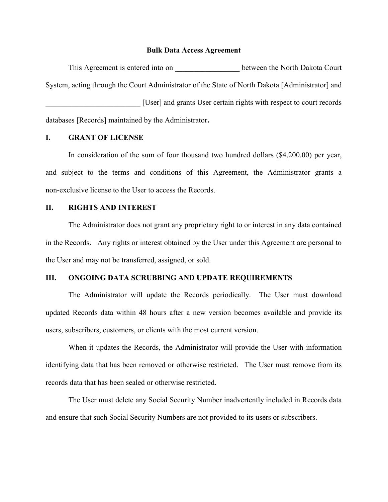#### Bulk Data Access Agreement

This Agreement is entered into on between the North Dakota Court System, acting through the Court Administrator of the State of North Dakota [Administrator] and [User] and grants User certain rights with respect to court records databases [Records] maintained by the Administrator.

## I. GRANT OF LICENSE

In consideration of the sum of four thousand two hundred dollars (\$4,200.00) per year, and subject to the terms and conditions of this Agreement, the Administrator grants a non-exclusive license to the User to access the Records.

## II. RIGHTS AND INTEREST

The Administrator does not grant any proprietary right to or interest in any data contained in the Records. Any rights or interest obtained by the User under this Agreement are personal to the User and may not be transferred, assigned, or sold.

## III. ONGOING DATA SCRUBBING AND UPDATE REQUIREMENTS

The Administrator will update the Records periodically. The User must download updated Records data within 48 hours after a new version becomes available and provide its users, subscribers, customers, or clients with the most current version.

When it updates the Records, the Administrator will provide the User with information identifying data that has been removed or otherwise restricted. The User must remove from its records data that has been sealed or otherwise restricted.

The User must delete any Social Security Number inadvertently included in Records data and ensure that such Social Security Numbers are not provided to its users or subscribers.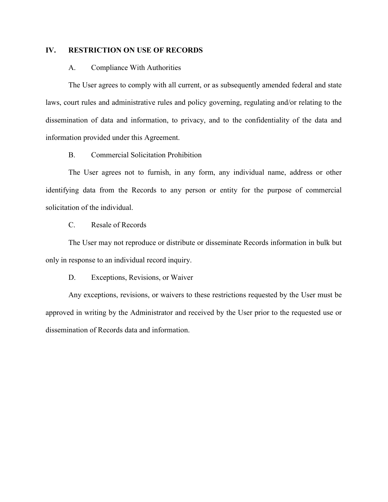# IV. RESTRICTION ON USE OF RECORDS

## A. Compliance With Authorities

The User agrees to comply with all current, or as subsequently amended federal and state laws, court rules and administrative rules and policy governing, regulating and/or relating to the dissemination of data and information, to privacy, and to the confidentiality of the data and information provided under this Agreement.

# B. Commercial Solicitation Prohibition

The User agrees not to furnish, in any form, any individual name, address or other identifying data from the Records to any person or entity for the purpose of commercial solicitation of the individual.

# C. Resale of Records

The User may not reproduce or distribute or disseminate Records information in bulk but only in response to an individual record inquiry.

D. Exceptions, Revisions, or Waiver

Any exceptions, revisions, or waivers to these restrictions requested by the User must be approved in writing by the Administrator and received by the User prior to the requested use or dissemination of Records data and information.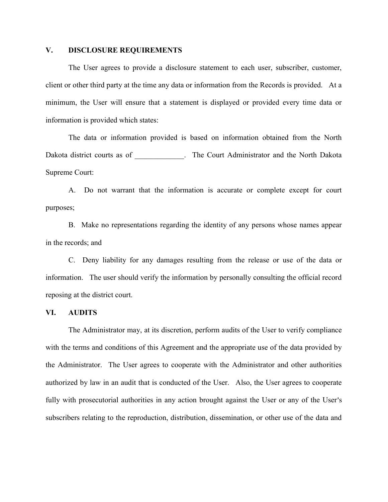# V. DISCLOSURE REQUIREMENTS

The User agrees to provide a disclosure statement to each user, subscriber, customer, client or other third party at the time any data or information from the Records is provided. At a minimum, the User will ensure that a statement is displayed or provided every time data or information is provided which states:

The data or information provided is based on information obtained from the North Dakota district courts as of  $\qquad \qquad$  . The Court Administrator and the North Dakota Supreme Court:

A. Do not warrant that the information is accurate or complete except for court purposes;

B. Make no representations regarding the identity of any persons whose names appear in the records; and

C. Deny liability for any damages resulting from the release or use of the data or information. The user should verify the information by personally consulting the official record reposing at the district court.

#### VI. AUDITS

The Administrator may, at its discretion, perform audits of the User to verify compliance with the terms and conditions of this Agreement and the appropriate use of the data provided by the Administrator. The User agrees to cooperate with the Administrator and other authorities authorized by law in an audit that is conducted of the User. Also, the User agrees to cooperate fully with prosecutorial authorities in any action brought against the User or any of the User's subscribers relating to the reproduction, distribution, dissemination, or other use of the data and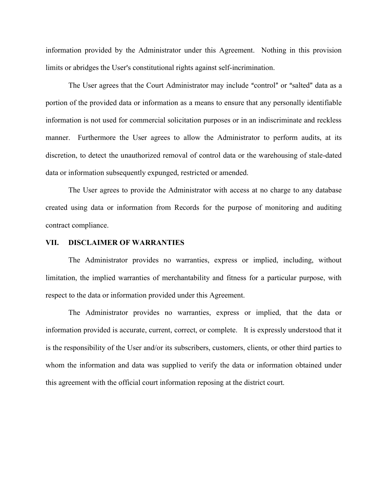information provided by the Administrator under this Agreement. Nothing in this provision limits or abridges the User's constitutional rights against self-incrimination.

The User agrees that the Court Administrator may include "control" or "salted" data as a portion of the provided data or information as a means to ensure that any personally identifiable information is not used for commercial solicitation purposes or in an indiscriminate and reckless manner. Furthermore the User agrees to allow the Administrator to perform audits, at its discretion, to detect the unauthorized removal of control data or the warehousing of stale-dated data or information subsequently expunged, restricted or amended.

The User agrees to provide the Administrator with access at no charge to any database created using data or information from Records for the purpose of monitoring and auditing contract compliance.

### VII. DISCLAIMER OF WARRANTIES

The Administrator provides no warranties, express or implied, including, without limitation, the implied warranties of merchantability and fitness for a particular purpose, with respect to the data or information provided under this Agreement.

The Administrator provides no warranties, express or implied, that the data or information provided is accurate, current, correct, or complete. It is expressly understood that it is the responsibility of the User and/or its subscribers, customers, clients, or other third parties to whom the information and data was supplied to verify the data or information obtained under this agreement with the official court information reposing at the district court.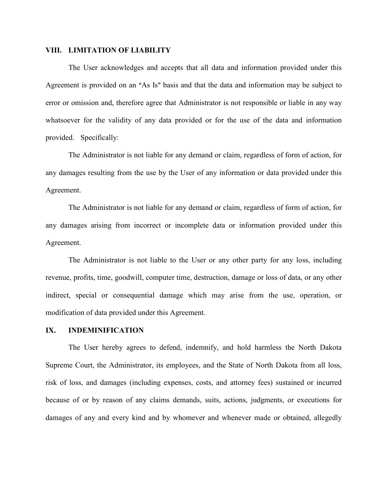## VIII. LIMITATION OF LIABILITY

The User acknowledges and accepts that all data and information provided under this Agreement is provided on an "As Is" basis and that the data and information may be subject to error or omission and, therefore agree that Administrator is not responsible or liable in any way whatsoever for the validity of any data provided or for the use of the data and information provided. Specifically:

The Administrator is not liable for any demand or claim, regardless of form of action, for any damages resulting from the use by the User of any information or data provided under this Agreement.

The Administrator is not liable for any demand or claim, regardless of form of action, for any damages arising from incorrect or incomplete data or information provided under this Agreement.

The Administrator is not liable to the User or any other party for any loss, including revenue, profits, time, goodwill, computer time, destruction, damage or loss of data, or any other indirect, special or consequential damage which may arise from the use, operation, or modification of data provided under this Agreement.

#### IX. INDEMINIFICATION

The User hereby agrees to defend, indemnify, and hold harmless the North Dakota Supreme Court, the Administrator, its employees, and the State of North Dakota from all loss, risk of loss, and damages (including expenses, costs, and attorney fees) sustained or incurred because of or by reason of any claims demands, suits, actions, judgments, or executions for damages of any and every kind and by whomever and whenever made or obtained, allegedly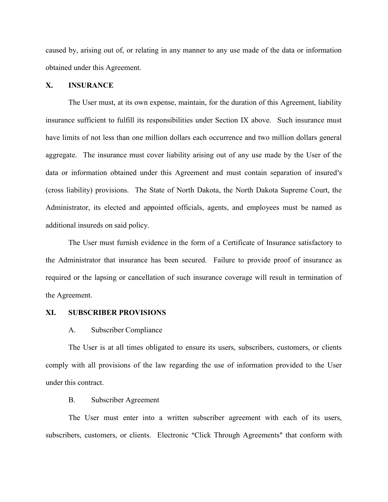caused by, arising out of, or relating in any manner to any use made of the data or information obtained under this Agreement.

# X. INSURANCE

The User must, at its own expense, maintain, for the duration of this Agreement, liability insurance sufficient to fulfill its responsibilities under Section IX above. Such insurance must have limits of not less than one million dollars each occurrence and two million dollars general aggregate. The insurance must cover liability arising out of any use made by the User of the data or information obtained under this Agreement and must contain separation of insured's (cross liability) provisions. The State of North Dakota, the North Dakota Supreme Court, the Administrator, its elected and appointed officials, agents, and employees must be named as additional insureds on said policy.

The User must furnish evidence in the form of a Certificate of Insurance satisfactory to the Administrator that insurance has been secured. Failure to provide proof of insurance as required or the lapsing or cancellation of such insurance coverage will result in termination of the Agreement.

#### XI. SUBSCRIBER PROVISIONS

#### A. Subscriber Compliance

The User is at all times obligated to ensure its users, subscribers, customers, or clients comply with all provisions of the law regarding the use of information provided to the User under this contract.

#### B. Subscriber Agreement

The User must enter into a written subscriber agreement with each of its users, subscribers, customers, or clients. Electronic "Click Through Agreements" that conform with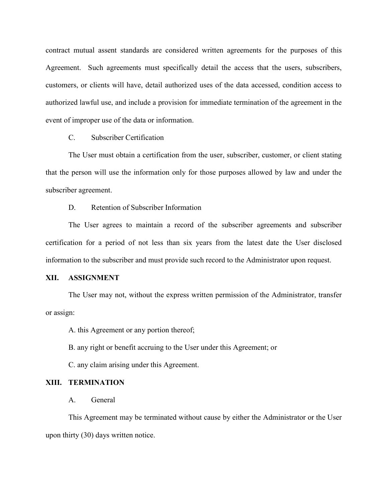contract mutual assent standards are considered written agreements for the purposes of this Agreement. Such agreements must specifically detail the access that the users, subscribers, customers, or clients will have, detail authorized uses of the data accessed, condition access to authorized lawful use, and include a provision for immediate termination of the agreement in the event of improper use of the data or information.

C. Subscriber Certification

The User must obtain a certification from the user, subscriber, customer, or client stating that the person will use the information only for those purposes allowed by law and under the subscriber agreement.

D. Retention of Subscriber Information

The User agrees to maintain a record of the subscriber agreements and subscriber certification for a period of not less than six years from the latest date the User disclosed information to the subscriber and must provide such record to the Administrator upon request.

# XII. ASSIGNMENT

The User may not, without the express written permission of the Administrator, transfer or assign:

A. this Agreement or any portion thereof;

B. any right or benefit accruing to the User under this Agreement; or

C. any claim arising under this Agreement.

## XIII. TERMINATION

A. General

This Agreement may be terminated without cause by either the Administrator or the User upon thirty (30) days written notice.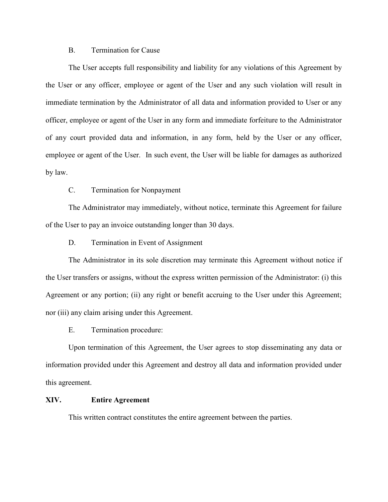# B. Termination for Cause

The User accepts full responsibility and liability for any violations of this Agreement by the User or any officer, employee or agent of the User and any such violation will result in immediate termination by the Administrator of all data and information provided to User or any officer, employee or agent of the User in any form and immediate forfeiture to the Administrator of any court provided data and information, in any form, held by the User or any officer, employee or agent of the User. In such event, the User will be liable for damages as authorized by law.

# C. Termination for Nonpayment

The Administrator may immediately, without notice, terminate this Agreement for failure of the User to pay an invoice outstanding longer than 30 days.

D. Termination in Event of Assignment

The Administrator in its sole discretion may terminate this Agreement without notice if the User transfers or assigns, without the express written permission of the Administrator: (i) this Agreement or any portion; (ii) any right or benefit accruing to the User under this Agreement; nor (iii) any claim arising under this Agreement.

E. Termination procedure:

Upon termination of this Agreement, the User agrees to stop disseminating any data or information provided under this Agreement and destroy all data and information provided under this agreement.

## XIV. Entire Agreement

This written contract constitutes the entire agreement between the parties.